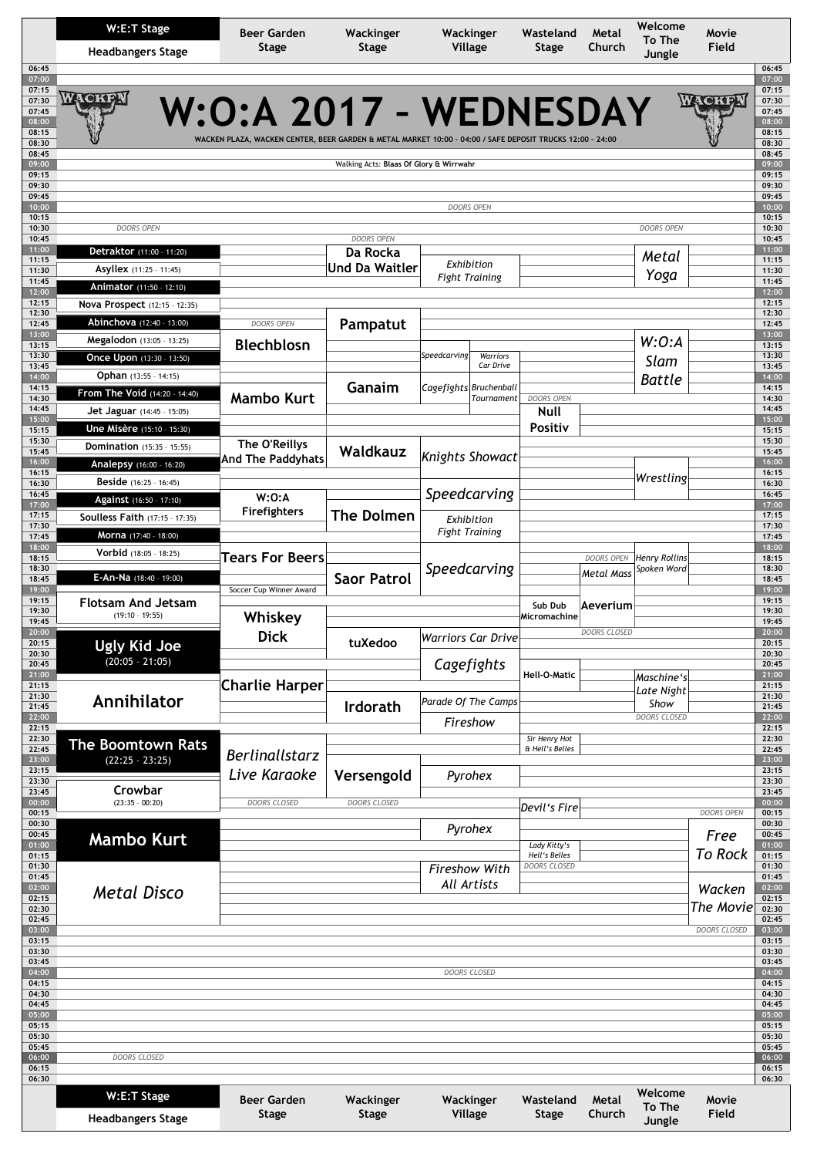| W:E:T Stage<br><b>Headbangers Stage</b><br>06:45            |                                                | Beer Garden<br>Wackinger<br>Stage<br>Stage                                                                                          |                                         | Wackinger<br>Village      |              | Wasteland<br>Stage                                  | Metal<br>Church   | Welcome<br>To The<br>Jungle | Movie<br>Field    |
|-------------------------------------------------------------|------------------------------------------------|-------------------------------------------------------------------------------------------------------------------------------------|-----------------------------------------|---------------------------|--------------|-----------------------------------------------------|-------------------|-----------------------------|-------------------|
| 07:00<br>07:15<br>07:30<br>07:45<br>08:00<br>08:15<br>08:30 | WACKEN                                         | W:O:A 2017 - WEDNESDAY<br>WACKEN PLAZA, WACKEN CENTER, BEER GARDEN & METAL MARKET 10:00 - 04:00 / SAFE DEPOSIT TRUCKS 12:00 - 24:00 |                                         |                           |              |                                                     |                   |                             | WACKEN            |
| 08:45<br>09:00                                              |                                                |                                                                                                                                     | Walking Acts: Blaas Of Glory & Wirrwahr |                           |              |                                                     |                   |                             |                   |
| 09:15                                                       |                                                |                                                                                                                                     |                                         |                           |              |                                                     |                   |                             |                   |
| 09:30<br>09:45<br>10:00<br>10:15                            |                                                |                                                                                                                                     |                                         | <b>DOORS OPEN</b>         |              |                                                     |                   |                             |                   |
| 10:30<br>10:45                                              | DOORS OPEN                                     |                                                                                                                                     | <b>DOORS OPEN</b>                       |                           |              |                                                     |                   | DOORS OPEN                  |                   |
| 11:00                                                       | Detraktor (11:00 - 11:20)                      |                                                                                                                                     | Da Rocka                                |                           |              |                                                     |                   | Metal                       |                   |
| 11:15<br>11:30                                              | <b>Asyllex</b> (11:25 - 11:45)                 |                                                                                                                                     | <b>Und Da Waitler</b>                   | Exhibition                |              |                                                     |                   |                             |                   |
| 11:45<br>12:00                                              | Animator (11:50 - 12:10)                       |                                                                                                                                     |                                         | <b>Fight Training</b>     |              |                                                     |                   | Yoga                        |                   |
| 12:15                                                       | Nova Prospect (12:15 - 12:35)                  |                                                                                                                                     |                                         |                           |              |                                                     |                   |                             |                   |
| 12:30<br>12:45                                              | Abinchova (12:40 - 13:00)                      | <b>DOORS OPEN</b>                                                                                                                   | Pampatut                                |                           |              |                                                     |                   |                             |                   |
| 13:00<br>13:15                                              | <b>Megalodon</b> (13:05 - 13:25)               | <b>Blechblosn</b>                                                                                                                   |                                         |                           |              |                                                     |                   | W:O:A                       |                   |
| 13:30                                                       | Once Upon (13:30 - 13:50)                      |                                                                                                                                     |                                         | Speedcarving              | Warriors     |                                                     |                   | Slam                        |                   |
| 13:45<br>14:00                                              | Ophan (13:55 - 14:15)                          |                                                                                                                                     |                                         |                           | Car Drive    |                                                     |                   | <b>Battle</b>               |                   |
| 14:15                                                       | From The Void (14:20 - 14:40)                  |                                                                                                                                     | Ganaim                                  | Cagefights Bruchenball    |              |                                                     |                   |                             |                   |
| 14:30<br>14:45                                              | <b>Jet Jaguar</b> (14:45 - 15:05)              | <b>Mambo Kurt</b>                                                                                                                   |                                         |                           | Tournament   | <b>DOORS OPEN</b><br><b>Null</b>                    |                   |                             |                   |
| 15:00                                                       | <b>Une Misère</b> (15:10 - 15:30)              |                                                                                                                                     |                                         |                           |              | Positiv                                             |                   |                             |                   |
| 15:15<br>15:30                                              | <b>Domination</b> (15:35 - 15:55)              | The O'Reillys                                                                                                                       |                                         |                           |              |                                                     |                   |                             |                   |
| 15:45<br>16:00                                              |                                                | And The Paddyhats                                                                                                                   | Waldkauz                                | <b>Knights Showact</b>    |              |                                                     |                   |                             |                   |
| 16:15                                                       | Analepsy (16:00 - 16:20)                       |                                                                                                                                     |                                         |                           |              |                                                     |                   | Wrestling                   |                   |
| 16:30<br>16:45                                              | Beside (16:25 - 16:45)                         | W:O:A                                                                                                                               |                                         | Speedcarving              |              |                                                     |                   |                             |                   |
| 17:00                                                       | Against (16:50 - 17:10)                        | <b>Firefighters</b>                                                                                                                 |                                         |                           |              |                                                     |                   |                             |                   |
| 17:15<br>17:30                                              | <b>Soulless Faith (17:15 - 17:35)</b>          |                                                                                                                                     | <b>The Dolmen</b>                       | Exhibition                |              |                                                     |                   |                             |                   |
| 17:45<br>18:00                                              | Morna (17:40 - 18:00)                          |                                                                                                                                     |                                         | <b>Fight Training</b>     |              |                                                     |                   |                             |                   |
| 18:15                                                       | Vorbid (18:05 - 18:25)                         | <b>Tears For Beers</b>                                                                                                              |                                         |                           |              |                                                     | <b>DOORS OPEN</b> | <b>Henry Rollins</b>        |                   |
| 18:30<br>18:45                                              | E-An-Na (18:40 - 19:00)                        |                                                                                                                                     | <b>Saor Patrol</b>                      | Speedcarving              |              |                                                     | Metal Mass        | Spoken Word                 |                   |
| 19:00                                                       |                                                | Soccer Cup Winner Award                                                                                                             |                                         |                           |              |                                                     |                   |                             |                   |
| 19:15<br>19:30                                              | <b>Flotsam And Jetsam</b><br>$(19:10 - 19:55)$ |                                                                                                                                     |                                         |                           |              | Sub Dub<br>Aeverium<br>Micromachine<br>DOORS CLOSED |                   |                             |                   |
| 19:45<br>0.00                                               |                                                | Whiskey                                                                                                                             |                                         |                           |              |                                                     |                   |                             |                   |
| 20:15                                                       | <b>Ugly Kid Joe</b>                            | <b>Dick</b>                                                                                                                         | tuXedoo                                 | <b>Warriors Car Drive</b> |              |                                                     |                   |                             |                   |
| 20:30<br>20:45                                              | $(20:05 - 21:05)$                              |                                                                                                                                     |                                         | Cagefights                |              |                                                     |                   |                             |                   |
| 21:00<br>21:15                                              |                                                | <b>Charlie Harper</b>                                                                                                               |                                         |                           |              | <b>Hell-O-Matic</b>                                 |                   | Maschine's                  |                   |
| 21:30                                                       | Annihilator                                    |                                                                                                                                     |                                         | Parade Of The Camps       |              |                                                     |                   | Late Night                  |                   |
| 21:45<br>22:00                                              |                                                |                                                                                                                                     | <b>Irdorath</b>                         |                           |              |                                                     |                   | Show<br>DOORS CLOSED        |                   |
| 22:15                                                       |                                                |                                                                                                                                     |                                         | Fireshow                  |              |                                                     |                   |                             |                   |
| 22:30<br>22:45                                              | The Boomtown Rats                              |                                                                                                                                     |                                         |                           |              | Sir Henry Hot<br>& Hell's Belles                    |                   |                             |                   |
| 23:00<br>23:15                                              | $(22:25 - 23:25)$                              | <b>Berlinallstarz</b>                                                                                                               |                                         |                           |              |                                                     |                   |                             |                   |
| 23:30                                                       |                                                | Live Karaoke                                                                                                                        | Versengold                              | Pyrohex                   |              |                                                     |                   |                             |                   |
| 23:45<br>00:00                                              | Crowbar<br>$(23:35 - 00:20)$                   | DOORS CLOSED                                                                                                                        | <b>DOORS CLOSED</b>                     |                           |              |                                                     |                   |                             |                   |
| 00:15                                                       |                                                |                                                                                                                                     |                                         |                           |              | Devil's Fire                                        |                   |                             | <b>DOORS OPEN</b> |
| 00:30<br>00:45                                              | <b>Mambo Kurt</b>                              |                                                                                                                                     |                                         | Pyrohex                   |              |                                                     |                   |                             | Free              |
| 01:00<br>01:15                                              |                                                |                                                                                                                                     |                                         |                           |              | Lady Kitty's<br>Hell's Belles                       |                   |                             | <b>To Rock</b>    |
| 01:30                                                       |                                                |                                                                                                                                     |                                         | <b>Fireshow With</b>      |              | <b>DOORS CLOSED</b>                                 |                   |                             |                   |
| 01:45<br>02:00                                              |                                                |                                                                                                                                     |                                         | All Artists               |              |                                                     |                   |                             | Wacken            |
| 02:15<br>02:30                                              | <b>Metal Disco</b>                             |                                                                                                                                     |                                         |                           |              |                                                     |                   |                             | The Movie         |
| 02:45                                                       |                                                |                                                                                                                                     |                                         |                           |              |                                                     |                   |                             |                   |
| 03:00<br>03:15                                              |                                                |                                                                                                                                     |                                         |                           |              |                                                     |                   |                             | DOORS CLOSED      |
| 03:30                                                       |                                                |                                                                                                                                     |                                         |                           |              |                                                     |                   |                             |                   |
| 03:45<br>04:00                                              |                                                |                                                                                                                                     |                                         |                           | DOORS CLOSED |                                                     |                   |                             |                   |
| 04:15                                                       |                                                |                                                                                                                                     |                                         |                           |              |                                                     |                   |                             |                   |
| 04:30<br>04:45                                              |                                                |                                                                                                                                     |                                         |                           |              |                                                     |                   |                             |                   |
| 05:00<br>05:15                                              |                                                |                                                                                                                                     |                                         |                           |              |                                                     |                   |                             |                   |
| 05:30                                                       |                                                |                                                                                                                                     |                                         |                           |              |                                                     |                   |                             |                   |
| 05:45<br>06:00                                              | DOORS CLOSED                                   |                                                                                                                                     |                                         |                           |              |                                                     |                   |                             |                   |
| 06:15                                                       |                                                |                                                                                                                                     |                                         |                           |              |                                                     |                   |                             |                   |
| 06:30                                                       |                                                |                                                                                                                                     |                                         |                           |              |                                                     |                   | Welcome                     |                   |
|                                                             | W:E:T Stage                                    | Beer Garden                                                                                                                         | Wackinger                               | Wackinger                 |              | Wasteland                                           | Metal             | <b>To The</b>               | Movie             |
|                                                             |                                                | Stage                                                                                                                               | <b>Stage</b>                            | Village                   |              | Stage                                               | Church            |                             | Field             |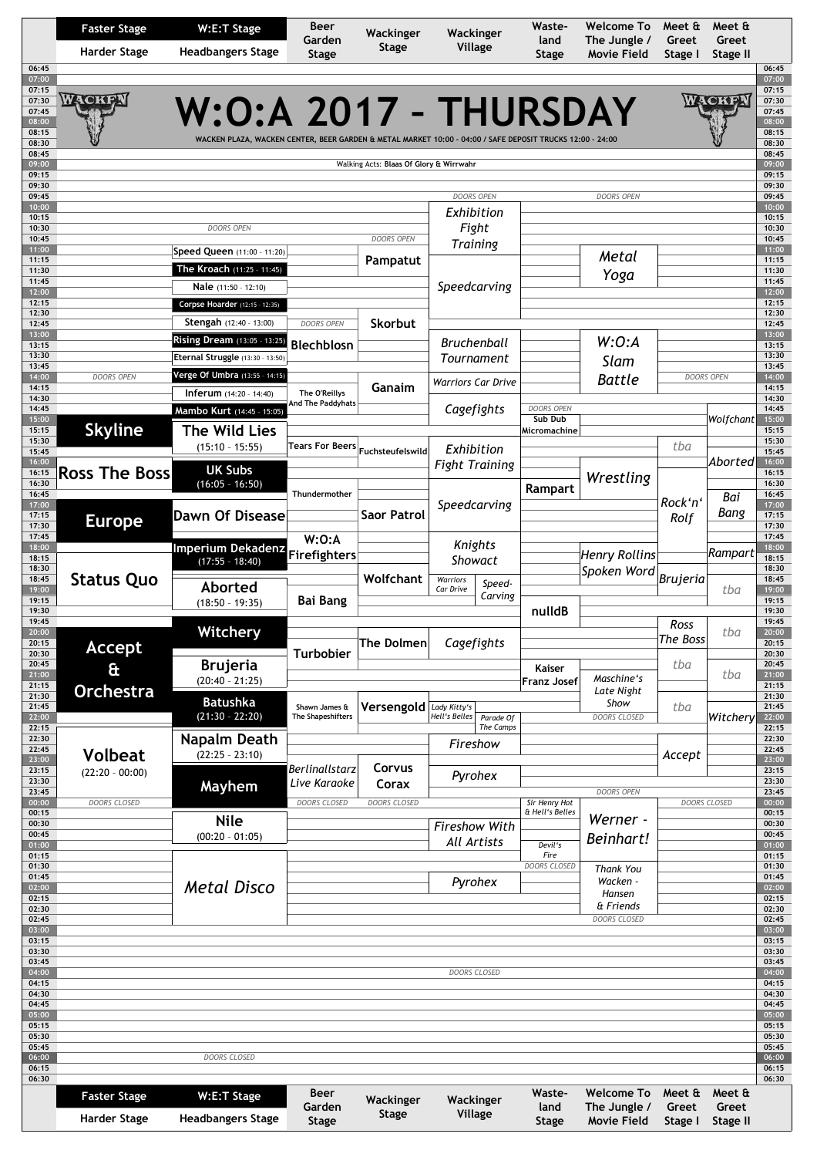|                | <b>Faster Stage</b>  | W:E:T Stage                                                                                               | <b>Beer</b><br>Garden                     | Wackinger                               | Wackinger                 |                        | Waste-<br>land          | <b>Welcome To</b><br>The Jungle /  | Meet &<br>Greet  | Meet &<br>Greet   |
|----------------|----------------------|-----------------------------------------------------------------------------------------------------------|-------------------------------------------|-----------------------------------------|---------------------------|------------------------|-------------------------|------------------------------------|------------------|-------------------|
|                | <b>Harder Stage</b>  | <b>Headbangers Stage</b>                                                                                  | Stage                                     | <b>Stage</b>                            | Village                   |                        | Stage                   | Movie Field                        | Stage I          | Stage II          |
| 06:45<br>07:00 |                      |                                                                                                           |                                           |                                         |                           |                        |                         |                                    |                  |                   |
| 07:15<br>07:30 | WACKEN               |                                                                                                           |                                           |                                         |                           |                        |                         |                                    |                  |                   |
| 07:45          |                      | W:O:A 2017 - THURSDAY                                                                                     |                                           |                                         |                           |                        |                         |                                    |                  | ACKF              |
| 08:00<br>08:15 |                      |                                                                                                           |                                           |                                         |                           |                        |                         |                                    |                  |                   |
| 08:30<br>08:45 |                      | WACKEN PLAZA, WACKEN CENTER, BEER GARDEN & METAL MARKET 10:00 - 04:00 / SAFE DEPOSIT TRUCKS 12:00 - 24:00 |                                           |                                         |                           |                        |                         |                                    |                  |                   |
| 09:00          |                      |                                                                                                           |                                           | Walking Acts: Blaas Of Glory & Wirrwahr |                           |                        |                         |                                    |                  |                   |
| 09:15<br>09:30 |                      |                                                                                                           |                                           |                                         |                           |                        |                         |                                    |                  |                   |
| 09:45<br>10:00 |                      |                                                                                                           |                                           |                                         | <b>DOORS OPEN</b>         |                        |                         | <b>DOORS OPEN</b>                  |                  |                   |
| 10:15          |                      |                                                                                                           |                                           |                                         | Exhibition                |                        |                         |                                    |                  |                   |
| 10:30<br>10:45 |                      | <b>DOORS OPEN</b>                                                                                         |                                           | DOORS OPEN                              | Fight                     |                        |                         |                                    |                  |                   |
| 11:00          |                      | Speed Queen (11:00 - 11:20)                                                                               |                                           |                                         | <b>Training</b>           |                        |                         | Metal                              |                  |                   |
| 11:15<br>11:30 |                      | The Kroach (11:25 - 11:45)                                                                                |                                           | Pampatut                                |                           |                        |                         | Yoga                               |                  |                   |
| 11:45<br>12:00 |                      | Nale (11:50 - 12:10)                                                                                      |                                           |                                         | Speedcarving              |                        |                         |                                    |                  |                   |
| 12:15          |                      | Corpse Hoarder (12:15 - 12:35)                                                                            |                                           |                                         |                           |                        |                         |                                    |                  |                   |
| 12:30<br>12:45 |                      | Stengah (12:40 - 13:00)                                                                                   | <b>DOORS OPEN</b>                         | <b>Skorbut</b>                          |                           |                        |                         |                                    |                  |                   |
| 13:00<br>13:15 |                      | Rising Dream (13:05 - 13:25)                                                                              | Blechblosn                                |                                         | <b>Bruchenball</b>        |                        |                         | W:0:A                              |                  |                   |
| 13:30          |                      | Eternal Struggle (13:30 - 13:50)                                                                          |                                           |                                         | Tournament                |                        |                         | Slam                               |                  |                   |
| 13:45<br>14:00 | <b>DOORS OPEN</b>    | Verge Of Umbra (13:55 - 14:15)                                                                            |                                           |                                         |                           |                        |                         | <b>Battle</b>                      |                  | <b>DOORS OPEN</b> |
| 14:15<br>14:30 |                      | <b>Inferum</b> $(14:20 - 14:40)$                                                                          | The O'Reillys                             | Ganaim                                  | <b>Warriors Car Drive</b> |                        |                         |                                    |                  |                   |
| 14:45          |                      | Mambo Kurt (14:45 - 15:05)                                                                                | And The Paddyhats                         |                                         | Cagefights                |                        | DOORS OPEN              |                                    |                  |                   |
| 15:00<br>15:15 | <b>Skyline</b>       | <b>The Wild Lies</b>                                                                                      |                                           |                                         |                           |                        | Sub Dub<br>Micromachine |                                    |                  | Wolfchant         |
| 15:30          |                      | $(15:10 - 15:55)$                                                                                         | <b>Tears For Beers</b>                    | Fuchsteufelswild                        | Exhibition                |                        |                         |                                    | tba              |                   |
| 15:45<br>16:00 |                      | <b>UK Subs</b>                                                                                            |                                           |                                         | <b>Fight Training</b>     |                        |                         |                                    |                  | Aborted           |
| 16:15<br>16:30 | <b>Ross The Boss</b> | $(16:05 - 16:50)$                                                                                         |                                           |                                         |                           |                        |                         | Wrestling                          |                  |                   |
| 16:45<br>17:00 |                      |                                                                                                           | Thundermother                             |                                         |                           |                        | Rampart                 |                                    | Rock'n'          | Bai               |
| 17:15          | <b>Europe</b>        | <b>Dawn Of Disease</b>                                                                                    |                                           | Saor Patrol                             | Speedcarving              |                        |                         |                                    | Rolf             | Bang              |
| 17:30<br>17:45 |                      |                                                                                                           | W:O:A                                     |                                         |                           |                        |                         |                                    |                  |                   |
| 18:00          |                      | Imperium Dekadenz                                                                                         | Firefighters                              |                                         | Knights                   |                        |                         | <b>Henry Rollins</b>               |                  | Rampart           |
| 18:15<br>18:30 |                      | $(17:55 - 18:40)$                                                                                         |                                           |                                         | Showact                   |                        |                         | Spoken Word                        |                  |                   |
| 18:45<br>19:00 | <b>Status Quo</b>    | Aborted                                                                                                   |                                           | Wolfchant                               | Warriors<br>Car Drive     | Speed-                 |                         |                                    | <b>Brujeria</b>  | tba               |
| 19:15          |                      | $(18:50 - 19:35)$                                                                                         | <b>Bai Bang</b>                           |                                         |                           | Carving                |                         |                                    |                  |                   |
| 19:30<br>19:45 |                      |                                                                                                           |                                           |                                         |                           |                        | nulldB                  |                                    | Ross             |                   |
| 20:00<br>20:15 |                      | <b>Witchery</b>                                                                                           |                                           | The Dolmen                              | Cagefights                |                        |                         |                                    | The Boss         | tba               |
| 20:30          | <b>Accept</b>        |                                                                                                           | <b>Turbobier</b>                          |                                         |                           |                        |                         |                                    |                  |                   |
| 20:45<br>21:00 | &                    | <b>Brujeria</b><br>$(20:40 - 21:25)$                                                                      |                                           |                                         |                           |                        | Kaiser<br>Franz Josef   | Maschine's                         | tba              | tba               |
| 21:15<br>21:30 | <b>Orchestra</b>     |                                                                                                           |                                           |                                         |                           |                        |                         | Late Night                         |                  |                   |
| 21:45          |                      | <b>Batushka</b><br>$(21:30 - 22:20)$                                                                      | Shawn James &<br><b>The Shapeshifters</b> | Versengold Lady Kitty's                 |                           |                        |                         | Show<br><b>DOORS CLOSED</b>        | tba              |                   |
| 22:00<br>22:15 |                      |                                                                                                           |                                           |                                         | Hell's Belles             | Parade Of<br>The Camps |                         |                                    |                  | Witchery          |
| 22:30<br>22:45 |                      | Napalm Death                                                                                              |                                           |                                         | Fireshow                  |                        |                         |                                    |                  |                   |
| 23:00          | <b>Volbeat</b>       | $(22:25 - 23:10)$                                                                                         | <b>Berlinallstarz</b>                     | Corvus                                  |                           |                        |                         |                                    | Accept           |                   |
| 23:15<br>23:30 | $(22:20 - 00:00)$    | Mayhem                                                                                                    | Live Karaoke                              | Corax                                   | Pyrohex                   |                        |                         |                                    |                  |                   |
| 23:45<br>00:00 | DOORS CLOSED         |                                                                                                           | DOORS CLOSED                              | DOORS CLOSED                            |                           |                        | Sir Henry Hot           | DOORS OPEN                         |                  | DOORS CLOSED      |
| 00:15          |                      | <b>Nile</b>                                                                                               |                                           |                                         |                           |                        | & Hell's Belles         | Werner -                           |                  |                   |
| 00:30<br>00:45 |                      | $(00:20 - 01:05)$                                                                                         |                                           |                                         | <b>Fireshow With</b>      |                        |                         | Beinhart!                          |                  |                   |
| 01:00<br>01:15 |                      |                                                                                                           |                                           |                                         | All Artists               |                        | Devil's<br>Fire         |                                    |                  |                   |
| 01:30          |                      |                                                                                                           |                                           |                                         |                           |                        | <b>DOORS CLOSED</b>     | <b>Thank You</b>                   |                  |                   |
| 01:45<br>02:00 |                      | <b>Metal Disco</b>                                                                                        |                                           |                                         | Pyrohex                   |                        |                         | Wacken -                           |                  |                   |
| 02:15<br>02:30 |                      |                                                                                                           |                                           |                                         |                           |                        |                         | Hansen<br>& Friends                |                  |                   |
| 02:45          |                      |                                                                                                           |                                           |                                         |                           |                        |                         | DOORS CLOSED                       |                  |                   |
| 03:00<br>03:15 |                      |                                                                                                           |                                           |                                         |                           |                        |                         |                                    |                  |                   |
| 03:30<br>03:45 |                      |                                                                                                           |                                           |                                         |                           |                        |                         |                                    |                  |                   |
| 04:00          |                      |                                                                                                           |                                           |                                         | <b>DOORS CLOSED</b>       |                        |                         |                                    |                  |                   |
| 04:15<br>04:30 |                      |                                                                                                           |                                           |                                         |                           |                        |                         |                                    |                  |                   |
| 04:45          |                      |                                                                                                           |                                           |                                         |                           |                        |                         |                                    |                  |                   |
| 05:00<br>05:15 |                      |                                                                                                           |                                           |                                         |                           |                        |                         |                                    |                  |                   |
| 05:30<br>05:45 |                      |                                                                                                           |                                           |                                         |                           |                        |                         |                                    |                  |                   |
| 06:00          |                      | DOORS CLOSED                                                                                              |                                           |                                         |                           |                        |                         |                                    |                  |                   |
| 06:15          |                      |                                                                                                           |                                           |                                         |                           |                        |                         |                                    |                  |                   |
|                |                      |                                                                                                           |                                           |                                         |                           |                        |                         |                                    |                  |                   |
|                | <b>Faster Stage</b>  | W:E:T Stage                                                                                               | Beer                                      |                                         |                           |                        | Waste-                  | <b>Welcome To</b>                  | Meet &           | Meet &            |
| 06:30          | <b>Harder Stage</b>  | <b>Headbangers Stage</b>                                                                                  | Garden<br><b>Stage</b>                    | Wackinger<br><b>Stage</b>               | Wackinger<br>Village      |                        | land<br><b>Stage</b>    | The Jungle /<br><b>Movie Field</b> | Greet<br>Stage I | Greet<br>Stage II |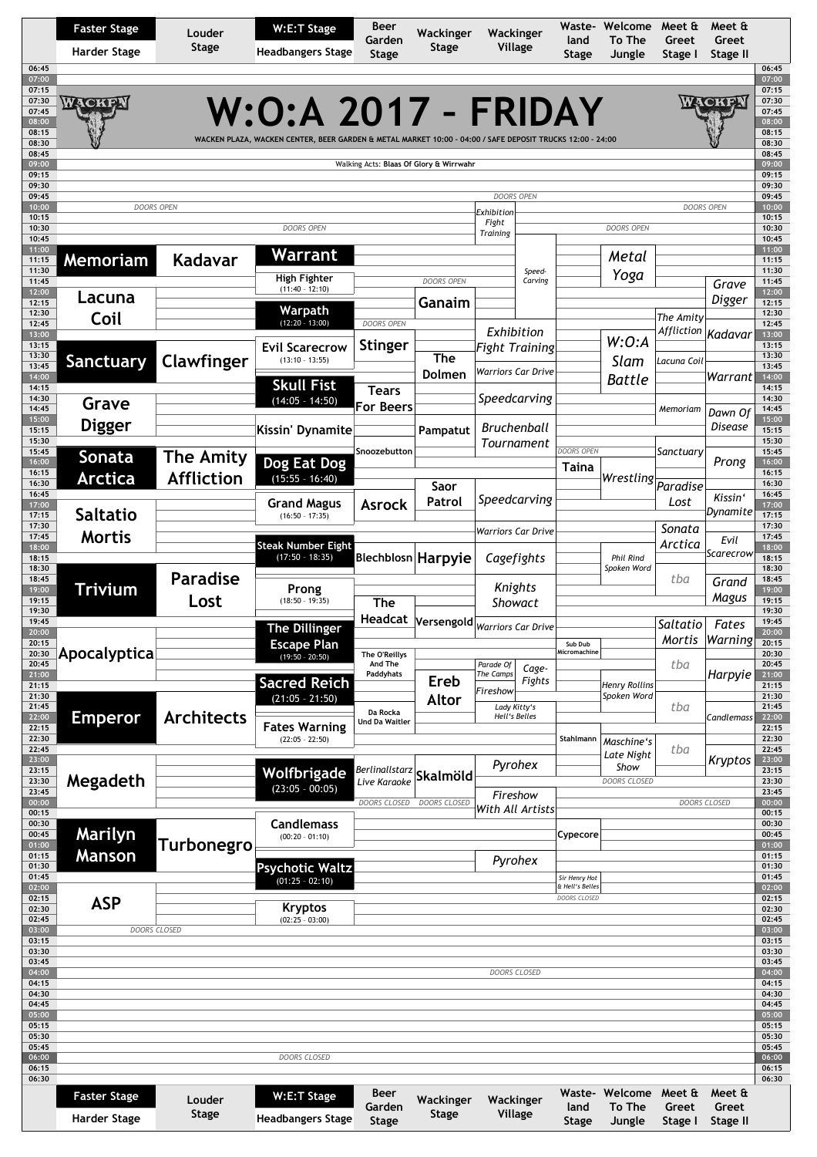|                                  | <b>Faster Stage</b><br><b>Harder Stage</b> | Louder<br><b>Stage</b> | W:E:T Stage<br><b>Headbangers Stage</b>                                                                                                 | Beer<br>Garden<br><b>Stage</b>               | Wackinger<br>Stage                      | Wackinger<br>Village                                      | Waste-<br>land<br>Stage          | Welcome<br>To The<br>Jungle         | Meet &<br>Greet<br>Stage I | Meet &<br>Greet<br>Stage II |
|----------------------------------|--------------------------------------------|------------------------|-----------------------------------------------------------------------------------------------------------------------------------------|----------------------------------------------|-----------------------------------------|-----------------------------------------------------------|----------------------------------|-------------------------------------|----------------------------|-----------------------------|
| 06:45<br>07:00<br>07:15<br>07:30 |                                            |                        |                                                                                                                                         |                                              |                                         |                                                           |                                  |                                     |                            |                             |
| 07:45<br>08:00<br>08:15<br>08:30 | WACKEN                                     |                        | <b>W:O:A 2017 - FRIDAY</b><br>WACKEN PLAZA, WACKEN CENTER, BEER GARDEN & METAL MARKET 10:00 - 04:00 / SAFE DEPOSIT TRUCKS 12:00 - 24:00 |                                              |                                         |                                                           |                                  |                                     |                            | WACKE                       |
| 08:45<br>09:00                   |                                            |                        |                                                                                                                                         |                                              | Walking Acts: Blaas Of Glory & Wirrwahr |                                                           |                                  |                                     |                            |                             |
| 09:15<br>09:30                   |                                            |                        |                                                                                                                                         |                                              |                                         |                                                           |                                  |                                     |                            |                             |
| 09:45<br>10:00<br>10:15<br>10:30 | <b>DOORS OPEN</b>                          |                        | <b>DOORS OPEN</b>                                                                                                                       |                                              |                                         | <b>DOORS OPEN</b><br>Exhibition<br>Fight                  |                                  | DOORS OPEN                          |                            | <b>DOORS OPEN</b>           |
| 10:45<br>11:00                   |                                            |                        |                                                                                                                                         |                                              |                                         | <b>Training</b>                                           |                                  |                                     |                            |                             |
| 11:15<br>11:30                   | <b>Memoriam</b>                            | Kadavar                | Warrant                                                                                                                                 |                                              |                                         | Speed-                                                    |                                  | Metal                               |                            |                             |
| 11:45<br>12:00                   |                                            |                        | High Fighter<br>$(11:40 - 12:10)$                                                                                                       |                                              | <b>DOORS OPEN</b>                       | Carving                                                   |                                  | Yoga                                |                            | Grave                       |
| 12:15<br>12:30                   | Lacuna<br>Coil                             |                        | Warpath                                                                                                                                 |                                              | Ganaim                                  |                                                           |                                  |                                     | The Amity                  | Digger                      |
| 12:45<br>13:00                   |                                            |                        | $(12:20 - 13:00)$                                                                                                                       | <b>DOORS OPEN</b>                            |                                         | Exhibition                                                |                                  |                                     | Affliction                 | Kadavar                     |
| 13:15<br>13:30                   |                                            | Clawfinger             | <b>Evil Scarecrow</b><br>$(13:10 - 13:55)$                                                                                              | <b>Stinger</b>                               | The                                     | <b>Fight Training</b>                                     |                                  | W:O:A<br>Slam                       | Lacuna Coil                |                             |
| 13:45<br>14:00<br>14:15          | <b>Sanctuary</b>                           |                        | <b>Skull Fist</b>                                                                                                                       | <b>Tears</b>                                 | Dolmen                                  | <b>Warriors Car Drive</b>                                 |                                  | <b>Battle</b>                       |                            | Warrant                     |
| 14:30<br>14:45                   | Grave                                      |                        | $(14:05 - 14:50)$                                                                                                                       | <b>For Beers</b>                             |                                         | Speedcarving                                              |                                  |                                     | Memoriam                   | Dawn Of                     |
| 15:00<br>15:15                   | <b>Digger</b>                              |                        | Kissin' Dynamite                                                                                                                        |                                              | Pampatut                                | <b>Bruchenball</b>                                        |                                  |                                     |                            | Disease                     |
| 15:30<br>15:45                   | Sonata                                     | <b>The Amity</b>       |                                                                                                                                         | Snoozebutton                                 |                                         | Tournament                                                | <b>DOORS OPEN</b>                |                                     | Sanctuary                  |                             |
| 16:00<br>16:15                   | Arctica                                    | <b>Affliction</b>      | Dog Eat Dog<br>$(15:55 - 16:40)$                                                                                                        |                                              |                                         |                                                           | Taina                            | Wrestling                           |                            | Prong                       |
| 16:30<br>16:45                   |                                            |                        |                                                                                                                                         |                                              | Saor<br>Patrol                          | Speedcarving                                              |                                  |                                     | Paradise<br>Lost           | Kissin'                     |
| 17:00<br>17:15                   | <b>Saltatio</b>                            |                        | <b>Grand Magus</b><br>$(16:50 - 17:35)$                                                                                                 | <b>Asrock</b>                                |                                         |                                                           |                                  |                                     |                            | Dynamite                    |
| 17:30<br>17:45                   | <b>Mortis</b>                              |                        | <b>Steak Number Eight</b>                                                                                                               |                                              |                                         | <b>Warriors Car Drive</b>                                 |                                  |                                     | Sonata<br>Arctica          | Evil                        |
| 18:00<br>18:15                   |                                            |                        | $(17:50 - 18:35)$                                                                                                                       |                                              | Blechblosn Harpyie                      | Cagefights                                                |                                  | Phil Rind                           |                            | Scarecrow                   |
| 18:30<br>18:45                   |                                            | <b>Paradise</b>        |                                                                                                                                         |                                              |                                         | Knights                                                   |                                  | Spoken Word                         | tba                        | Grand                       |
| 19:00<br>19:15                   | Trivium                                    | Lost                   | Prong<br>$(18:50 - 19:35)$                                                                                                              | The                                          |                                         | Showact                                                   |                                  |                                     |                            | Magus                       |
| 19:30<br>19:45<br>20:00          |                                            |                        | <b>The Dillinger</b>                                                                                                                    | Headcat                                      |                                         | $\left \mathsf{Versengold}\right _{Warriors\ Car\ Drive}$ |                                  |                                     | Saltatio                   | Fates                       |
| 20:15<br>20:30                   |                                            |                        | <b>Escape Plan</b>                                                                                                                      |                                              |                                         |                                                           | Sub Dub<br>Micromachine          |                                     | Mortis                     | Warning                     |
| 20:45<br>21:00                   | Apocalyptica                               |                        | $(19:50 - 20:50)$                                                                                                                       | The O'Reillys<br>And The<br><b>Paddyhats</b> |                                         | Parade Of<br>Cage-<br>The Camps                           |                                  |                                     | tba                        | Harpyie                     |
| 21:15<br>21:30                   |                                            |                        | <b>Sacred Reich</b>                                                                                                                     |                                              | <b>Ereb</b>                             | Fights<br>Fireshow                                        |                                  | <b>Henry Rollins</b><br>Spoken Word |                            |                             |
| 21:45<br>22:00                   | Emperor                                    | <b>Architects</b>      | $(21:05 - 21:50)$                                                                                                                       | Da Rocka                                     | <b>Altor</b>                            | Lady Kitty's<br>Hell's Belles                             |                                  |                                     | tba                        | Candlemass                  |
| 22:15<br>22:30                   |                                            |                        | <b>Fates Warning</b><br>$(22:05 - 22:50)$                                                                                               | <b>Und Da Waitler</b>                        |                                         |                                                           | Stahlmann                        |                                     |                            |                             |
| 22:45<br>23:00                   |                                            |                        |                                                                                                                                         |                                              |                                         |                                                           |                                  | Maschine's<br>Late Night            | tba                        | Kryptos                     |
| 23:15<br>23:30                   | Megadeth                                   |                        | Wolfbrigade                                                                                                                             | Berlinallstarz<br>Live Karaoke               | Skalmöld                                | Pyrohex                                                   |                                  | Show<br><b>DOORS CLOSED</b>         |                            |                             |
| 23:45<br>00:00                   |                                            |                        | $(23:05 - 00:05)$                                                                                                                       | DOORS CLOSED                                 | <b>DOORS CLOSED</b>                     | Fireshow                                                  |                                  |                                     |                            | <b>DOORS CLOSED</b>         |
| 00:15<br>00:30                   |                                            |                        | <b>Candlemass</b>                                                                                                                       |                                              |                                         | With All Artists                                          |                                  |                                     |                            |                             |
| 00:45<br>01:00                   | Marilyn                                    | Turbonegro             | $(00:20 - 01:10)$                                                                                                                       |                                              |                                         |                                                           | Cypecore                         |                                     |                            |                             |
| 01:15<br>01:30                   | <b>Manson</b>                              |                        | <b>Psychotic Waltz</b>                                                                                                                  |                                              |                                         | Pyrohex                                                   |                                  |                                     |                            |                             |
| 01:45<br>02:00                   |                                            |                        | $(01:25 - 02:10)$                                                                                                                       |                                              |                                         |                                                           | Sir Henry Hot<br>& Hell's Belles |                                     |                            |                             |
| 02:15<br>02:30                   | <b>ASP</b>                                 |                        | <b>Kryptos</b>                                                                                                                          |                                              |                                         |                                                           | DOORS CLOSED                     |                                     |                            |                             |
| 02:45<br>03:00                   | <b>DOORS CLOSED</b>                        |                        | $(02:25 - 03:00)$                                                                                                                       |                                              |                                         |                                                           |                                  |                                     |                            |                             |
| 03:15<br>03:30                   |                                            |                        |                                                                                                                                         |                                              |                                         |                                                           |                                  |                                     |                            |                             |
| 03:45<br>04:00                   |                                            |                        |                                                                                                                                         |                                              |                                         | <b>DOORS CLOSED</b>                                       |                                  |                                     |                            |                             |
| 04:15<br>04:30                   |                                            |                        |                                                                                                                                         |                                              |                                         |                                                           |                                  |                                     |                            |                             |
| 04:45<br>05:00                   |                                            |                        |                                                                                                                                         |                                              |                                         |                                                           |                                  |                                     |                            |                             |
| 05:15<br>05:30                   |                                            |                        |                                                                                                                                         |                                              |                                         |                                                           |                                  |                                     |                            |                             |
| 05:45                            |                                            |                        | DOORS CLOSED                                                                                                                            |                                              |                                         |                                                           |                                  |                                     |                            |                             |
| 06:00                            |                                            |                        |                                                                                                                                         |                                              |                                         |                                                           |                                  |                                     |                            |                             |
| 06:15<br>06:30                   |                                            |                        |                                                                                                                                         | Beer                                         |                                         |                                                           | Waste-                           | Welcome                             | Meet &                     | Meet &                      |